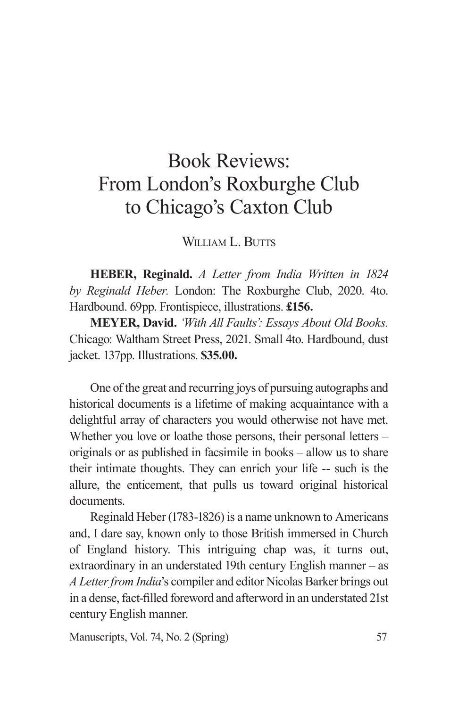## Book Reviews: From London's Roxburghe Club to Chicago's Caxton Club

WILLIAM L. BUTTS

**HEBER, Reginald.** *A Letter from India Written in 1824 by Reginald Heber.* London: The Roxburghe Club, 2020. 4to. Hardbound. 69pp. Frontispiece, illustrations. **£156.**

**MEYER, David.** *'With All Faults': Essays About Old Books.* Chicago: Waltham Street Press, 2021. Small 4to. Hardbound, dust jacket. 137pp. Illustrations. **\$35.00.**

One of the great and recurring joys of pursuing autographs and historical documents is a lifetime of making acquaintance with a delightful array of characters you would otherwise not have met. Whether you love or loathe those persons, their personal letters – originals or as published in facsimile in books – allow us to share their intimate thoughts. They can enrich your life -- such is the allure, the enticement, that pulls us toward original historical documents.

Reginald Heber (1783-1826) is a name unknown to Americans and, I dare say, known only to those British immersed in Church of England history. This intriguing chap was, it turns out, extraordinary in an understated 19th century English manner – as *A Letter from India*'s compiler and editor Nicolas Barker brings out in a dense, fact-filled foreword and afterword in an understated 21st century English manner.

Manuscripts, Vol. 74, No. 2 (Spring) 57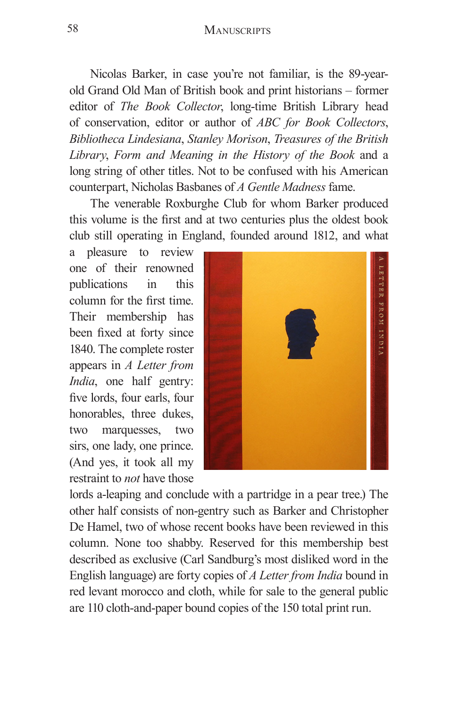## 58 MANUSCRIPTS

Nicolas Barker, in case you're not familiar, is the 89-yearold Grand Old Man of British book and print historians – former editor of *The Book Collector*, long-time British Library head of conservation, editor or author of *ABC for Book Collectors*, *Bibliotheca Lindesiana*, *Stanley Morison*, *Treasures of the British Library*, *Form and Meaning in the History of the Book* and a long string of other titles. Not to be confused with his American counterpart, Nicholas Basbanes of *A Gentle Madness* fame.

The venerable Roxburghe Club for whom Barker produced this volume is the first and at two centuries plus the oldest book club still operating in England, founded around 1812, and what

a pleasure to review one of their renowned publications in this column for the first time. Their membership has been fixed at forty since 1840. The complete roster appears in *A Letter from India*, one half gentry: five lords, four earls, four honorables, three dukes, two marquesses, two sirs, one lady, one prince. (And yes, it took all my restraint to *not* have those



lords a-leaping and conclude with a partridge in a pear tree.) The other half consists of non-gentry such as Barker and Christopher De Hamel, two of whose recent books have been reviewed in this column. None too shabby. Reserved for this membership best described as exclusive (Carl Sandburg's most disliked word in the English language) are forty copies of *A Letter from India* bound in red levant morocco and cloth, while for sale to the general public are 110 cloth-and-paper bound copies of the 150 total print run.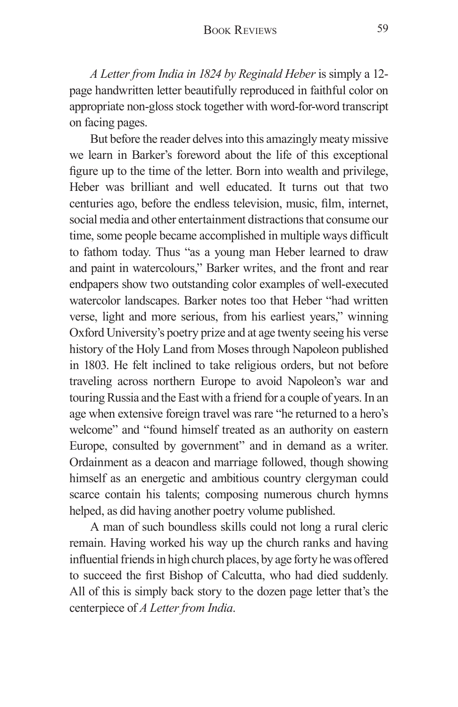*A Letter from India in 1824 by Reginald Heber* is simply a 12 page handwritten letter beautifully reproduced in faithful color on appropriate non-gloss stock together with word-for-word transcript on facing pages.

But before the reader delves into this amazingly meaty missive we learn in Barker's foreword about the life of this exceptional figure up to the time of the letter. Born into wealth and privilege, Heber was brilliant and well educated. It turns out that two centuries ago, before the endless television, music, film, internet, social media and other entertainment distractions that consume our time, some people became accomplished in multiple ways difficult to fathom today. Thus "as a young man Heber learned to draw and paint in watercolours," Barker writes, and the front and rear endpapers show two outstanding color examples of well-executed watercolor landscapes. Barker notes too that Heber "had written verse, light and more serious, from his earliest years," winning Oxford University's poetry prize and at age twenty seeing his verse history of the Holy Land from Moses through Napoleon published in 1803. He felt inclined to take religious orders, but not before traveling across northern Europe to avoid Napoleon's war and touring Russia and the East with a friend for a couple of years. In an age when extensive foreign travel was rare "he returned to a hero's welcome" and "found himself treated as an authority on eastern Europe, consulted by government" and in demand as a writer. Ordainment as a deacon and marriage followed, though showing himself as an energetic and ambitious country clergyman could scarce contain his talents; composing numerous church hymns helped, as did having another poetry volume published.

A man of such boundless skills could not long a rural cleric remain. Having worked his way up the church ranks and having influential friends in high church places, by age forty he was offered to succeed the first Bishop of Calcutta, who had died suddenly. All of this is simply back story to the dozen page letter that's the centerpiece of *A Letter from India*.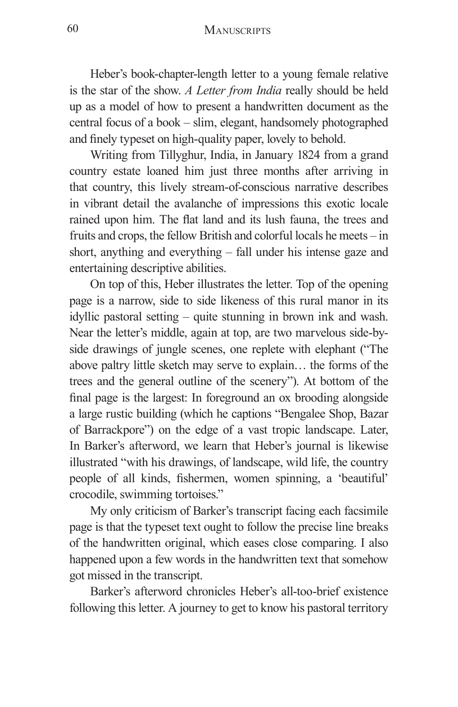Heber's book-chapter-length letter to a young female relative is the star of the show. *A Letter from India* really should be held up as a model of how to present a handwritten document as the central focus of a book – slim, elegant, handsomely photographed and finely typeset on high-quality paper, lovely to behold.

Writing from Tillyghur, India, in January 1824 from a grand country estate loaned him just three months after arriving in that country, this lively stream-of-conscious narrative describes in vibrant detail the avalanche of impressions this exotic locale rained upon him. The flat land and its lush fauna, the trees and fruits and crops, the fellow British and colorful locals he meets – in short, anything and everything – fall under his intense gaze and entertaining descriptive abilities.

On top of this, Heber illustrates the letter. Top of the opening page is a narrow, side to side likeness of this rural manor in its idyllic pastoral setting – quite stunning in brown ink and wash. Near the letter's middle, again at top, are two marvelous side-byside drawings of jungle scenes, one replete with elephant ("The above paltry little sketch may serve to explain… the forms of the trees and the general outline of the scenery"). At bottom of the final page is the largest: In foreground an ox brooding alongside a large rustic building (which he captions "Bengalee Shop, Bazar of Barrackpore") on the edge of a vast tropic landscape. Later, In Barker's afterword, we learn that Heber's journal is likewise illustrated "with his drawings, of landscape, wild life, the country people of all kinds, fishermen, women spinning, a 'beautiful' crocodile, swimming tortoises."

My only criticism of Barker's transcript facing each facsimile page is that the typeset text ought to follow the precise line breaks of the handwritten original, which eases close comparing. I also happened upon a few words in the handwritten text that somehow got missed in the transcript.

Barker's afterword chronicles Heber's all-too-brief existence following this letter. A journey to get to know his pastoral territory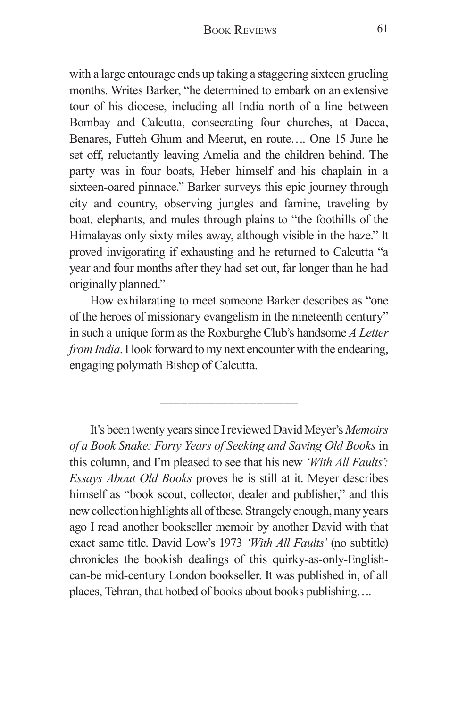with a large entourage ends up taking a staggering sixteen grueling months. Writes Barker, "he determined to embark on an extensive tour of his diocese, including all India north of a line between Bombay and Calcutta, consecrating four churches, at Dacca, Benares, Futteh Ghum and Meerut, en route…. One 15 June he set off, reluctantly leaving Amelia and the children behind. The party was in four boats, Heber himself and his chaplain in a sixteen-oared pinnace." Barker surveys this epic journey through city and country, observing jungles and famine, traveling by boat, elephants, and mules through plains to "the foothills of the Himalayas only sixty miles away, although visible in the haze." It proved invigorating if exhausting and he returned to Calcutta "a year and four months after they had set out, far longer than he had originally planned."

How exhilarating to meet someone Barker describes as "one of the heroes of missionary evangelism in the nineteenth century" in such a unique form as the Roxburghe Club's handsome *A Letter from India*. I look forward to my next encounter with the endearing, engaging polymath Bishop of Calcutta.

\_\_\_\_\_\_\_\_\_\_\_\_\_\_\_\_\_\_\_\_

It's been twenty years since I reviewed David Meyer's *Memoirs of a Book Snake: Forty Years of Seeking and Saving Old Books* in this column, and I'm pleased to see that his new *'With All Faults': Essays About Old Books* proves he is still at it. Meyer describes himself as "book scout, collector, dealer and publisher," and this new collection highlights all of these. Strangely enough, many years ago I read another bookseller memoir by another David with that exact same title. David Low's 1973 *'With All Faults'* (no subtitle) chronicles the bookish dealings of this quirky-as-only-Englishcan-be mid-century London bookseller. It was published in, of all places, Tehran, that hotbed of books about books publishing….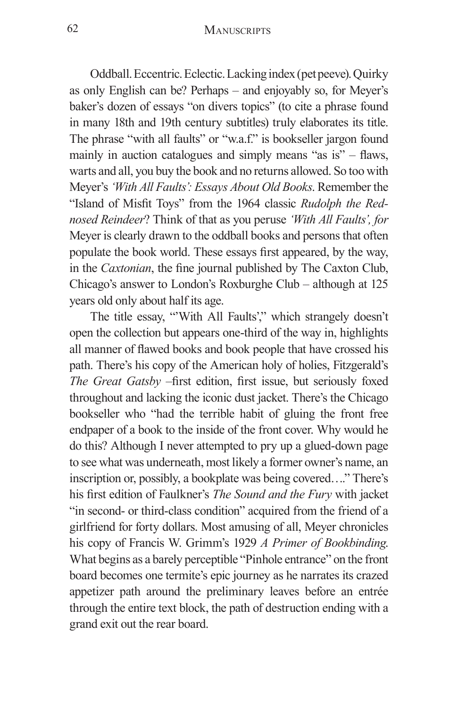## 62 MANUSCRIPTS

Oddball. Eccentric. Eclectic. Lacking index (pet peeve). Quirky as only English can be? Perhaps – and enjoyably so, for Meyer's baker's dozen of essays "on divers topics" (to cite a phrase found in many 18th and 19th century subtitles) truly elaborates its title. The phrase "with all faults" or "w.a.f." is bookseller jargon found mainly in auction catalogues and simply means "as is" – flaws, warts and all, you buy the book and no returns allowed. So too with Meyer's *'With All Faults': Essays About Old Books*. Remember the "Island of Misfit Toys" from the 1964 classic *Rudolph the Rednosed Reindeer*? Think of that as you peruse *'With All Faults', for*  Meyer is clearly drawn to the oddball books and persons that often populate the book world. These essays first appeared, by the way, in the *Caxtonian*, the fine journal published by The Caxton Club, Chicago's answer to London's Roxburghe Club – although at 125 years old only about half its age.

The title essay, "'With All Faults'," which strangely doesn't open the collection but appears one-third of the way in, highlights all manner of flawed books and book people that have crossed his path. There's his copy of the American holy of holies, Fitzgerald's *The Great Gatsby* –first edition, first issue, but seriously foxed throughout and lacking the iconic dust jacket. There's the Chicago bookseller who "had the terrible habit of gluing the front free endpaper of a book to the inside of the front cover. Why would he do this? Although I never attempted to pry up a glued-down page to see what was underneath, most likely a former owner's name, an inscription or, possibly, a bookplate was being covered…." There's his first edition of Faulkner's *The Sound and the Fury* with jacket "in second- or third-class condition" acquired from the friend of a girlfriend for forty dollars. Most amusing of all, Meyer chronicles his copy of Francis W. Grimm's 1929 *A Primer of Bookbinding*. What begins as a barely perceptible "Pinhole entrance" on the front board becomes one termite's epic journey as he narrates its crazed appetizer path around the preliminary leaves before an entrée through the entire text block, the path of destruction ending with a grand exit out the rear board.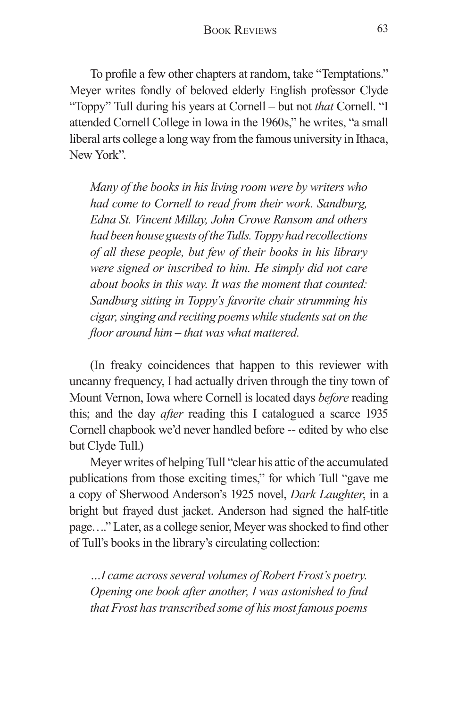To profile a few other chapters at random, take "Temptations." Meyer writes fondly of beloved elderly English professor Clyde "Toppy" Tull during his years at Cornell – but not *that* Cornell. "I attended Cornell College in Iowa in the 1960s," he writes, "a small liberal arts college a long way from the famous university in Ithaca, New York".

*Many of the books in his living room were by writers who had come to Cornell to read from their work. Sandburg, Edna St. Vincent Millay, John Crowe Ransom and others had been house guests of the Tulls. Toppy had recollections of all these people, but few of their books in his library were signed or inscribed to him. He simply did not care about books in this way. It was the moment that counted: Sandburg sitting in Toppy's favorite chair strumming his cigar, singing and reciting poems while students sat on the floor around him – that was what mattered.*

(In freaky coincidences that happen to this reviewer with uncanny frequency, I had actually driven through the tiny town of Mount Vernon, Iowa where Cornell is located days *before* reading this; and the day *after* reading this I catalogued a scarce 1935 Cornell chapbook we'd never handled before -- edited by who else but Clyde Tull.)

Meyer writes of helping Tull "clear his attic of the accumulated publications from those exciting times," for which Tull "gave me a copy of Sherwood Anderson's 1925 novel, *Dark Laughter*, in a bright but frayed dust jacket. Anderson had signed the half-title page…." Later, as a college senior, Meyer was shocked to find other of Tull's books in the library's circulating collection:

*…I came across several volumes of Robert Frost's poetry. Opening one book after another, I was astonished to find that Frost has transcribed some of his most famous poems*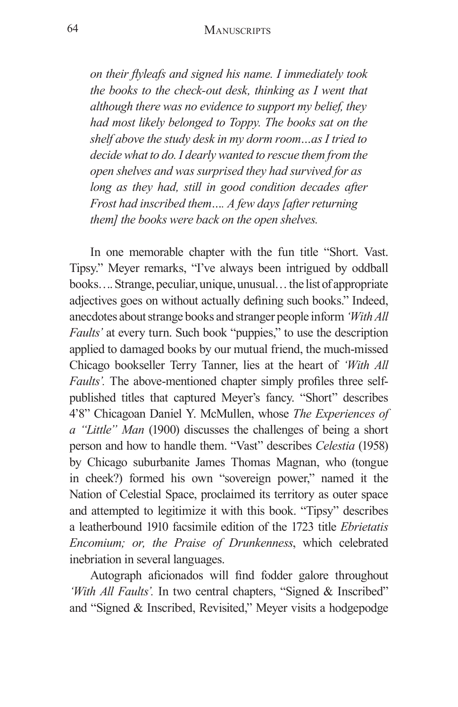## 64 MANUSCRIPTS

*on their flyleafs and signed his name. I immediately took the books to the check-out desk, thinking as I went that although there was no evidence to support my belief, they had most likely belonged to Toppy. The books sat on the shelf above the study desk in my dorm room…as I tried to decide what to do. I dearly wanted to rescue them from the open shelves and was surprised they had survived for as long as they had, still in good condition decades after Frost had inscribed them…. A few days [after returning them] the books were back on the open shelves.*

In one memorable chapter with the fun title "Short. Vast. Tipsy." Meyer remarks, "I've always been intrigued by oddball books…. Strange, peculiar, unique, unusual… the list of appropriate adjectives goes on without actually defining such books." Indeed, anecdotes about strange books and stranger people inform *'With All Faults'* at every turn. Such book "puppies," to use the description applied to damaged books by our mutual friend, the much-missed Chicago bookseller Terry Tanner, lies at the heart of *'With All Faults'.* The above-mentioned chapter simply profiles three selfpublished titles that captured Meyer's fancy. "Short" describes 4'8" Chicagoan Daniel Y. McMullen, whose *The Experiences of a "Little" Man* (1900) discusses the challenges of being a short person and how to handle them. "Vast" describes *Celestia* (1958) by Chicago suburbanite James Thomas Magnan, who (tongue in cheek?) formed his own "sovereign power," named it the Nation of Celestial Space, proclaimed its territory as outer space and attempted to legitimize it with this book. "Tipsy" describes a leatherbound 1910 facsimile edition of the 1723 title *Ebrietatis Encomium; or, the Praise of Drunkenness*, which celebrated inebriation in several languages.

Autograph aficionados will find fodder galore throughout 'With All Faults'. In two central chapters, "Signed & Inscribed" and "Signed & Inscribed, Revisited," Meyer visits a hodgepodge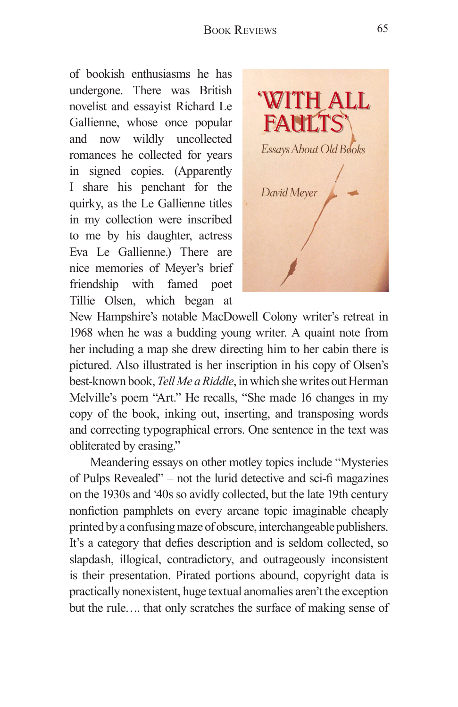of bookish enthusiasms he has undergone. There was British novelist and essayist Richard Le Gallienne, whose once popular and now wildly uncollected romances he collected for years in signed copies. (Apparently I share his penchant for the quirky, as the Le Gallienne titles in my collection were inscribed to me by his daughter, actress Eva Le Gallienne.) There are nice memories of Meyer's brief friendship with famed poet Tillie Olsen, which began at



New Hampshire's notable MacDowell Colony writer's retreat in 1968 when he was a budding young writer. A quaint note from her including a map she drew directing him to her cabin there is pictured. Also illustrated is her inscription in his copy of Olsen's best-known book, *Tell Me a Riddle*, in which she writes out Herman Melville's poem "Art." He recalls, "She made 16 changes in my copy of the book, inking out, inserting, and transposing words and correcting typographical errors. One sentence in the text was obliterated by erasing."

Meandering essays on other motley topics include "Mysteries of Pulps Revealed" – not the lurid detective and sci-fi magazines on the 1930s and '40s so avidly collected, but the late 19th century nonfiction pamphlets on every arcane topic imaginable cheaply printed by a confusing maze of obscure, interchangeable publishers. It's a category that defies description and is seldom collected, so slapdash, illogical, contradictory, and outrageously inconsistent is their presentation. Pirated portions abound, copyright data is practically nonexistent, huge textual anomalies aren't the exception but the rule…. that only scratches the surface of making sense of